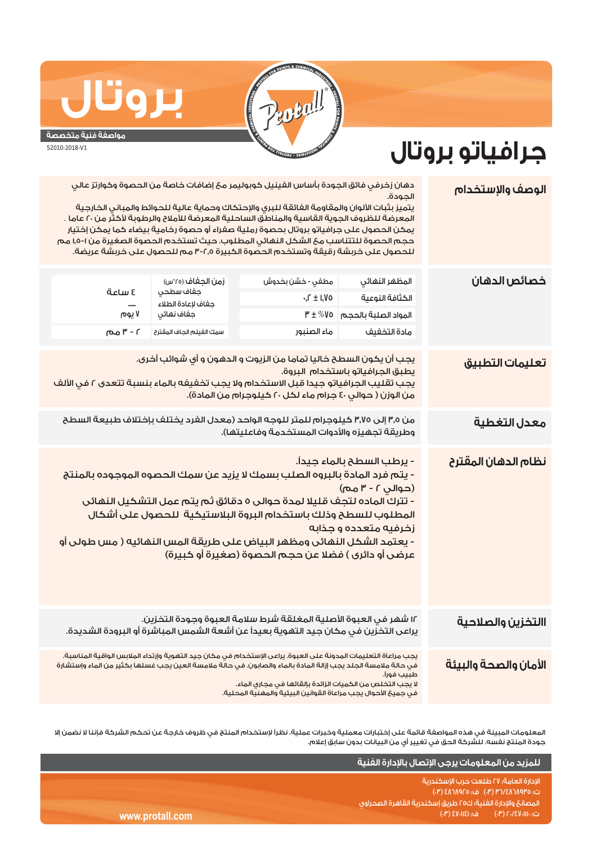

## **جرافياتو بروتال**

**مواصفة فنية متخصصة** 52010-2018-V1

**بروتال**

يجب أن يكون السطح خاليا تماما من الزيوت و الدهون و أي شوائب أخرى. يطبق الجرافياتو باستخدام البروة. يجب تقليب الجرافياتو جيدا قبل الاستخدام ولا يجب تخفيفه بالماء بنسبة تتعدى ٢ في الألف من الوزن ( حوالي ٤٠ جرام ماء لكل ٢٠ كيلوجرام من المادة). ١٢ شهر في العبوة الأصلية المغلقة شرط سلامة العبوة وجودة التخزين. يراعى التخزين في مكان جيد التهوية بعيداً عن أشعة الشمس المباشرة أو البرودة الشديدة. يجب مراعاة التعليمات المدونة على العبوة. يراعى الإستخدام في مكان جيد التهوية وإرتداء الملابس الواقية المناسبة. في حالة ملامسة الجلد يجب إزالة المادة بالماء والصابون. في حالة ملامسة العين يجب غسلها بكثير من الماء وإستشارة طبيب فوراً. لا يجب التخلص من الكميات الزائدة بإلقائها في مجاري الماء. في جميع الأحوال يجب مراعاة القوانين البيئية والمهنية المحلية. من ٣٫٥ إلى ٣٫٧٥ كيلوجرام للمتر للوجه الواحد (معدل الفرد يختلف بإختلاف طبيعة السطح وطريقة تجهيزه والأدوات المستخدمة وفاعليتها). دهان زخرفي فائق الجودة بأساس الفينيل كوبوليمر مع إضافات خاصة من الحصوة وكوارتز عالي الجودة. يتميز بثبات الألوان والمقاومة الفائقة للبري والإحتكاك وحماية عالية للحوائط والمباني الخارجية المعرضة للظروف الجوية القاسية والمناطق الساحلية المعرضة للأملاح والرطوبة لأكثر من ٢٠ عاما . يمكن الحصول على جرافياتو بروتال بحصوة رملية صفراء أو حصوة رخامية بيضاء كما يمكن إختيار حجم الحصوة للتتناسب مع الشكل النهائي المطلوب. حيث تستخدم الحصوة الصغيرة من ١٫٥-١ مم للحصول على خربشة رقيقة وتستخدم الحصوة الكبيرة ٣-٢٫٥ مم للحصول على خربشة عريضة. ٠٫٢ ± ١٫٧٥ ٣ ± %٧٥ المواد الصلبة بالحجم **الوصف والإستخدام تعليمات التطبيق نظام الدهان المقترح خصائص الدهان** المظهر النهائي الكثافة النوعية زمن الجفاف (°٢٥س) جفاف سطحي جفاف لإعادة الطلاء جفاف نهائي **االتخزين والصلاحية الأمان والصحة والبيئة معدل التغطية**  مادة التخفيف سمك الفيلم الجاف المقترح ماء الصنبور ٢ - ٣ مم ٤ ساعة<br>—<br>اروم - يرطب السطح بالماء جيداً. - يتم فرد المادة بالبروه الصلب بسمك لا يزيد عن سمك الحصوه الموجوده بالمنتج (حوالي ٢ - ٣ مم) - تترك الماده لتجف قليلا لمدة حوالى ٥ دقائق ثم يتم عمل التشكيل النهائى المطلوب للسطح وذلك باستخدام البروة البلاستيكية للحصول على أشكال زخرفيه متعدده و جذابه - يعتمد الشكل النهائى ومظهر البياض على طريقة المس النهائيه ( مس طولى أو عرضى أو دائرى ) فضلا عن حجم الحصوة (صغيرة أو كبيرة) ٧ يوم مطفي - خشن بخدوش

المعلومات المبينة في هذه المواصفة قائمة على إختبارات معملية وخبرات عملية. نظراً لإستخدام المنتج في ظروف خارجة عن تحكم الشركة فإننا لا نضمن إلا جودة المنتج نفسه. للشركة الحق في تغيير أي من البيانات بدون سابق إعلام.

|                 | للمزيد من المعلومات يرجى الإتصال بالإدارة الفنية                               |
|-----------------|--------------------------------------------------------------------------------|
|                 | الإدارة العامة؛ ٢٧ طلعت حرب الإسكندرية<br>ت: ٢٥-٨٦٨٩٢٥/٢٣ (٣٠) ف: ٤٨٦٨٩٢٥ (٣٠) |
|                 | ّ المصانعَ والإدارة الفنية؛ ك٢٥ طريقَ إسكندرية القاهرة الصحراوى ا              |
| www.protall.com | ف: SV-IIEI) 8<br>$\mathcal{C}$ ر ت: ۱۱۱۰۰ (۱۶۷۰) هم                            |